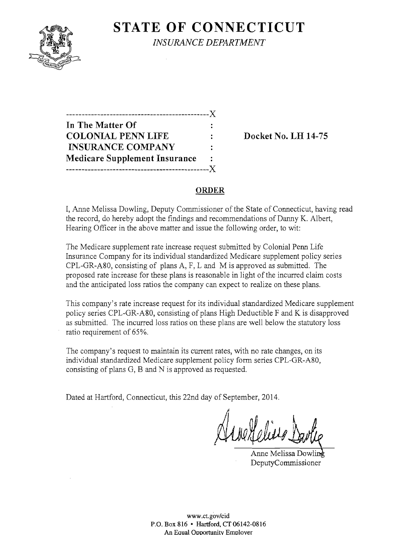

**STATE OF CONNECTICUT** 

*INSURANCE DEPARTMENT* 

| In The Matter Of                     |   |
|--------------------------------------|---|
| <b>COLONIAL PENN LIFE</b>            | : |
| <b>INSURANCE COMPANY</b>             | ÷ |
| <b>Medicare Supplement Insurance</b> |   |
|                                      |   |

**COLONIAL PENN LIFE Docket No. LH 14-75** 

# **ORDER**

I, Anne Melissa Dowling, Deputy Commissioner of the State of Connecticut, having read the record, do hereby adopt the findings and recommendations of Danny K. Albert, Hearing Officer in the above matter and issue the following order, to wit:

The Medicare supplement rate increase request submitted by Colonial Penn Life Insurance Company for its individual standardized Medicare supplement policy series CPL-OR-A80, consisting of plans A, F, L and M is approved as submitted. The proposed rate increase for these plans is reasonable in light of the incurred claim costs and the anticipated loss ratios the company can expect to realize on these plans.

This company's rate increase request for its individual standardized Medicare supplement policy series CPL-OR-A80, consisting of plans High Deductible F and K is disapproved as submitted. The incurred loss ratios on these plans are well below the statutory loss ratio requirement of 65%.

The company's request to maintain its current rates, with no rate changes, on its individual standardized Medicare supplement policy form series CPL-OR-A80, consisting of plans  $G$ ,  $B$  and  $N$  is approved as requested.

Dated at Hartford, Connecticut, this 22nd day of September, 2014.

Anne Melissa Dowli DeputyCommissioner

www.ct.gov/cid P.O. Box 816 • Hartford, CT 06142-0816 An Equal Opportunity Employer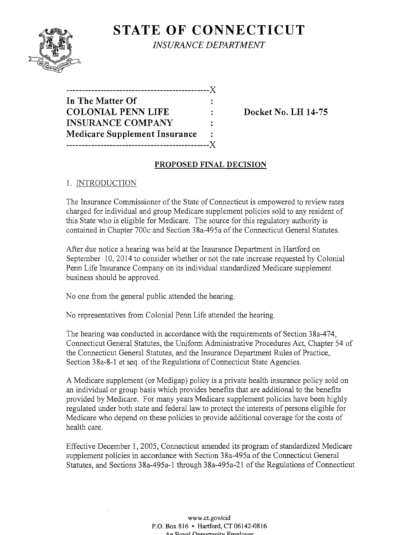

**STATE OF CONNECTICUT** 

*INSURANCE DEPARTMENT* 

| -----------                          |                |
|--------------------------------------|----------------|
| In The Matter Of                     |                |
| <b>COLONIAL PENN LIFE</b>            |                |
| <b>INSURANCE COMPANY</b>             | $\ddot{\cdot}$ |
| <b>Medicare Supplement Insurance</b> |                |
|                                      |                |

Docket No. LH 14-75

# PROPOSED FINAL DECISION

# 1. INTRODUCTION

The Insurance Commissioner of the State of Connecticut is empowered to review rates charged for individual and group Medicare supplement policies sold to any resident of this State who is eligible for Medicare. The source for this regulatory authority is contained in Chapter 700c and Section 38a-495a of the Connecticut General Statutes.

After due notice a hearing was held at the Insurance Department in Hartford on September 10, 2014 to consider whether or not the rate increase requested by Colonial Penn Life Insurance Company on its individual standardized Medicare supplement business should be approved.

No one from the general public attended the hearing.

No representatives from Colonial Penn Life attended the hearing.

The hearing was conducted in accordance with the requirements of Section 38a-474, Connecticut General Statutes, the Uniform Administrative Procedures Act, Chapter 54 of the Connecticut General Statutes, and the Insurance Department Rules of Practice, Section 38a-8-1 et seq. of the Regulations of Connecticut State Agencies.

A Medicare supplement (or Medigap) policy is a private health insurance policy sold on an individual or group basis which provides benefits that are additional to the benefits provided by Medicare. For many years Medicare supplement policies have been highly regulated under both state and federal law to protect the interests of persons eligible for Medicare who depend on these policies to provide additional coverage for the costs of health care.

Effective December 1,2005, Connecticut amended its program of standardized Medicare supplement policies in accordance with Section 38a-495a of the Connecticut General Statutes, and Sections 38a-495a-1 through 38a-495a-21 of the Regulations of Connecticut

> www.ct.gov/cid P.O. Box 816 • Hartford, CT 06142-0816 An Equal Opportunity Employer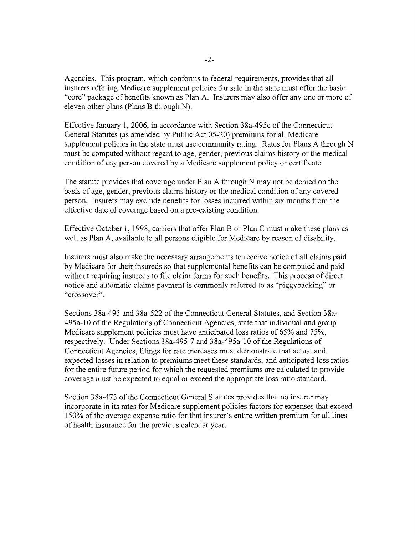Agencies. This program, which conforms to federal requirements, provides that all insurers offering Medicare supplement policies for sale in the state must offer the basic "core" package of benefits known as Plan A. Insurers may also offer anyone or more of eleven other plans (Plans B through N).

Effective January 1,2006, in accordance with Section 38a-495c of the Connecticut General Statutes (as amended by Public Act 05-20) premiums for all Medicare supplement policies in the state must use community rating. Rates for Plans A through N must be computed without regard to age, gender, previous claims history or the medical condition of any person covered by a Medicare supplement policy or certificate.

The statute provides that coverage under Plan A through N may not be denied on the basis of age, gender, previous claims history or the medical condition of any covered person. Insurers may exclude benefits for losses incurred within six months from the effective date of coverage based on a pre-existing condition.

Effective October 1, 1998, carriers that offer Plan B or Plan C must make these plans as well as Plan A, available to all persons eligible for Medicare by reason of disability.

Insurers must also make the necessary arrangements to receive notice of all claims paid by Medicare for their insureds so that supplemental benefits can be computed and paid without requiring insureds to file claim forms for such benefits. This process of direct notice and automatic claims payment is commonly referred to as "piggybacking" or "crossover".

Sections 38a-495 and 38a-522 of the Connecticut General Statutes, and Section 38a-495a-10 of the Regulations of Connecticut Agencies, state that individual and group Medicare supplement policies must have anticipated loss ratios of 65% and 75%, respectively. Under Sections 38a-495-7 and 38a-495a-10 of the Regulations of Connecticut Agencies, filings for rate increases must demonstrate that actual and expected losses in relation to premiums meet these standards, and anticipated loss ratios for the entire future period for which the requested premiums are calculated to provide coverage must be expected to equal or exceed the appropriate loss ratio standard.

Section 38a-473 of the Connecticut General Statutes provides that no insurer may incorporate in its rates for Medicare supplement policies factors for expenses that exceed 150% of the average expense ratio for that insurer's entire written premium for all lines of health insurance for the previous calendar year.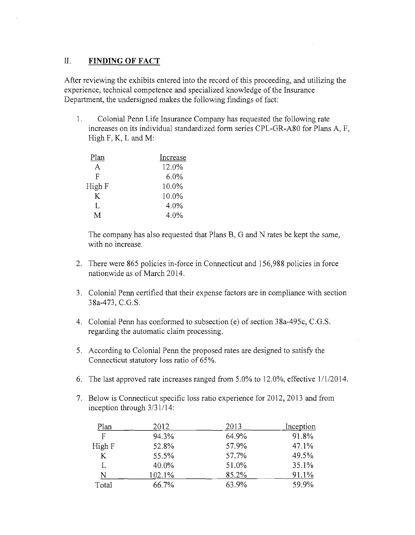#### **II. FINDING OF FACT**

After reviewing the exhibits entered into the record of this proceeding, and utilizing the experience, technical competence and specialized knowledge of the Insurance Department, the undersigned makes the following findings of fact:

1. Colonial Penn Life Insurance Company has requested the following rate increases on its individual standardized form series CPL-GR-A80 for Plans A, F, High F, K, L and M:

| Plan   | Increase |
|--------|----------|
| A      | 12.0%    |
| F      | $6.0\%$  |
| High F | 10.0%    |
| K      | 10.0%    |
| L      | 4.0%     |
| M      | 4.0%     |

The company has also requested that Plans B, G and N rates be kept the same, with no increase.

- 2. There were 865 policies in-force in Connecticut and 156,988 policies in force nationwide as of March 2014.
- 3. Colonial Penn certified that their expense factors are in compliance with section 38a-473, C.G.S.
- 4. Colonial Penn has conformed to subsection (e) of section 38a-495c, C.G.S. regarding the automatic claim processing.
- 5. According to Colonial Penn the proposed rates are designed to satisfy the Connecticut statutory loss ratio of 65%.
- 6. The last approved rate increases ranged from 5.0% to 12.0%, effective 1/1/2014.
- 7. Below is Connecticut specific loss ratio experience for 2012, 2013 and from inception through 3/31/14:

| Plan   | 2012   | 2013  | Inception |
|--------|--------|-------|-----------|
| F      | 94.3%  | 64.9% | 91.8%     |
| High F | 52.8%  | 57.9% | 47.1%     |
| K      | 55.5%  | 57.7% | 49.5%     |
|        | 40.0%  | 51.0% | 35.1%     |
| N      | 102.1% | 85.2% | 91.1%     |
| Total  | 66.7%  | 63.9% | 59.9%     |